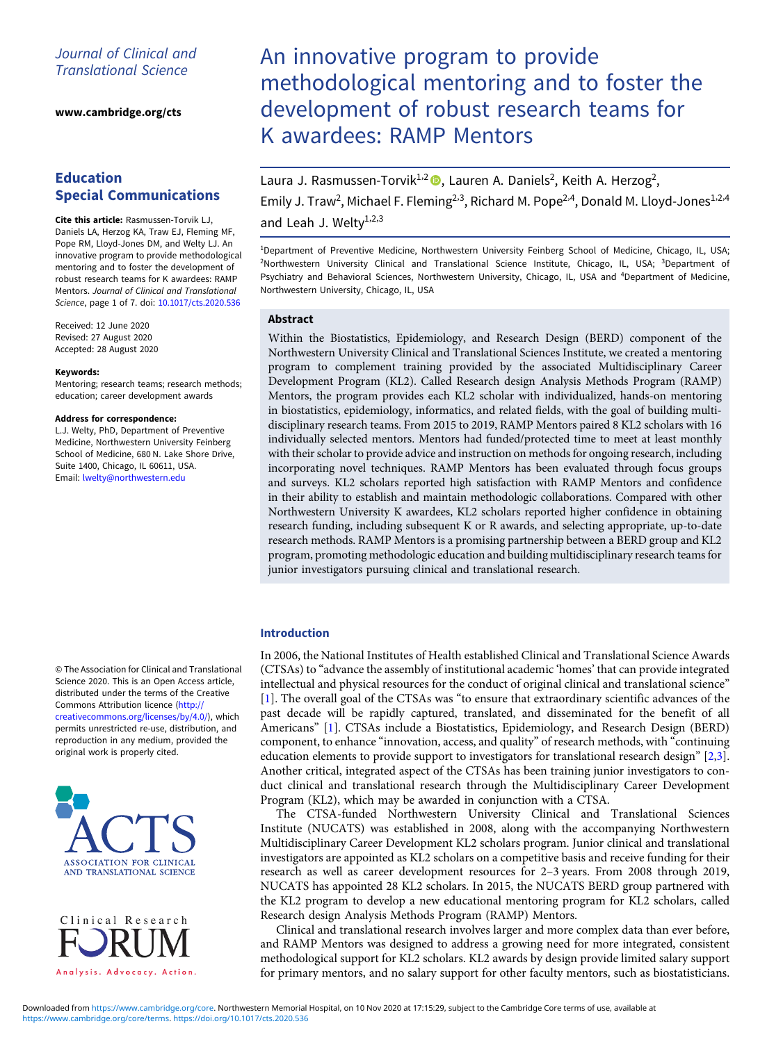## Journal of Clinical and Translational Science

[www.cambridge.org/cts](https://www.cambridge.org/cts)

# Education Special Communications

Cite this article: Rasmussen-Torvik LJ, Daniels LA, Herzog KA, Traw EJ, Fleming MF, Pope RM, Lloyd-Jones DM, and Welty LJ. An innovative program to provide methodological mentoring and to foster the development of robust research teams for K awardees: RAMP Mentors. Journal of Clinical and Translational Science, page 1 of 7. doi: [10.1017/cts.2020.536](https://doi.org/10.1017/cts.2020.536)

Received: 12 June 2020 Revised: 27 August 2020 Accepted: 28 August 2020

#### Keywords:

Mentoring; research teams; research methods; education; career development awards

#### Address for correspondence:

L.J. Welty, PhD, Department of Preventive Medicine, Northwestern University Feinberg School of Medicine, 680 N. Lake Shore Drive, Suite 1400, Chicago, IL 60611, USA. Email: [lwelty@northwestern.edu](mailto:lwelty@northwestern.edu)

© The Association for Clinical and Translational Science 2020. This is an Open Access article, distributed under the terms of the Creative Commons Attribution licence ([http://](http://creativecommons.org/licenses/by/4.0/) [creativecommons.org/licenses/by/4.0/\)](http://creativecommons.org/licenses/by/4.0/), which permits unrestricted re-use, distribution, and reproduction in any medium, provided the original work is properly cited.



Clinical Research Analysis. Advocacy. Action.

# An innovative program to provide methodological mentoring and to foster the development of robust research teams for K awardees: RAMP Mentors

Laura J. Rasmussen-Torvik<sup>1,2</sup> (D., Lauren A. Daniels<sup>2</sup>, Keith A. Herzog<sup>2</sup>, Emily J. Traw<sup>2</sup>, Michael F. Fleming<sup>2,3</sup>, Richard M. Pope<sup>2,4</sup>, Donald M. Lloyd-Jones<sup>1,2,4</sup> and Leah J. Welty<sup>1,2,3</sup>

<sup>1</sup>Department of Preventive Medicine, Northwestern University Feinberg School of Medicine, Chicago, IL, USA; <sup>2</sup>Northwestern University Clinical and Translational Science Institute, Chicago, IL, USA; <sup>3</sup>Department of Psychiatry and Behavioral Sciences, Northwestern University, Chicago, IL, USA and <sup>4</sup>Department of Medicine, Northwestern University, Chicago, IL, USA

## Abstract

Within the Biostatistics, Epidemiology, and Research Design (BERD) component of the Northwestern University Clinical and Translational Sciences Institute, we created a mentoring program to complement training provided by the associated Multidisciplinary Career Development Program (KL2). Called Research design Analysis Methods Program (RAMP) Mentors, the program provides each KL2 scholar with individualized, hands-on mentoring in biostatistics, epidemiology, informatics, and related fields, with the goal of building multidisciplinary research teams. From 2015 to 2019, RAMP Mentors paired 8 KL2 scholars with 16 individually selected mentors. Mentors had funded/protected time to meet at least monthly with their scholar to provide advice and instruction on methods for ongoing research, including incorporating novel techniques. RAMP Mentors has been evaluated through focus groups and surveys. KL2 scholars reported high satisfaction with RAMP Mentors and confidence in their ability to establish and maintain methodologic collaborations. Compared with other Northwestern University K awardees, KL2 scholars reported higher confidence in obtaining research funding, including subsequent K or R awards, and selecting appropriate, up-to-date research methods. RAMP Mentors is a promising partnership between a BERD group and KL2 program, promoting methodologic education and building multidisciplinary research teams for junior investigators pursuing clinical and translational research.

## Introduction

In 2006, the National Institutes of Health established Clinical and Translational Science Awards (CTSAs) to "advance the assembly of institutional academic 'homes' that can provide integrated intellectual and physical resources for the conduct of original clinical and translational science" [\[1\]](#page-5-0). The overall goal of the CTSAs was "to ensure that extraordinary scientific advances of the past decade will be rapidly captured, translated, and disseminated for the benefit of all Americans" [\[1\]](#page-5-0). CTSAs include a Biostatistics, Epidemiology, and Research Design (BERD) component, to enhance "innovation, access, and quality" of research methods, with "continuing education elements to provide support to investigators for translational research design" [\[2,3\]](#page-6-0). Another critical, integrated aspect of the CTSAs has been training junior investigators to conduct clinical and translational research through the Multidisciplinary Career Development Program (KL2), which may be awarded in conjunction with a CTSA.

The CTSA-funded Northwestern University Clinical and Translational Sciences Institute (NUCATS) was established in 2008, along with the accompanying Northwestern Multidisciplinary Career Development KL2 scholars program. Junior clinical and translational investigators are appointed as KL2 scholars on a competitive basis and receive funding for their research as well as career development resources for 2–3 years. From 2008 through 2019, NUCATS has appointed 28 KL2 scholars. In 2015, the NUCATS BERD group partnered with the KL2 program to develop a new educational mentoring program for KL2 scholars, called Research design Analysis Methods Program (RAMP) Mentors.

Clinical and translational research involves larger and more complex data than ever before, and RAMP Mentors was designed to address a growing need for more integrated, consistent methodological support for KL2 scholars. KL2 awards by design provide limited salary support for primary mentors, and no salary support for other faculty mentors, such as biostatisticians.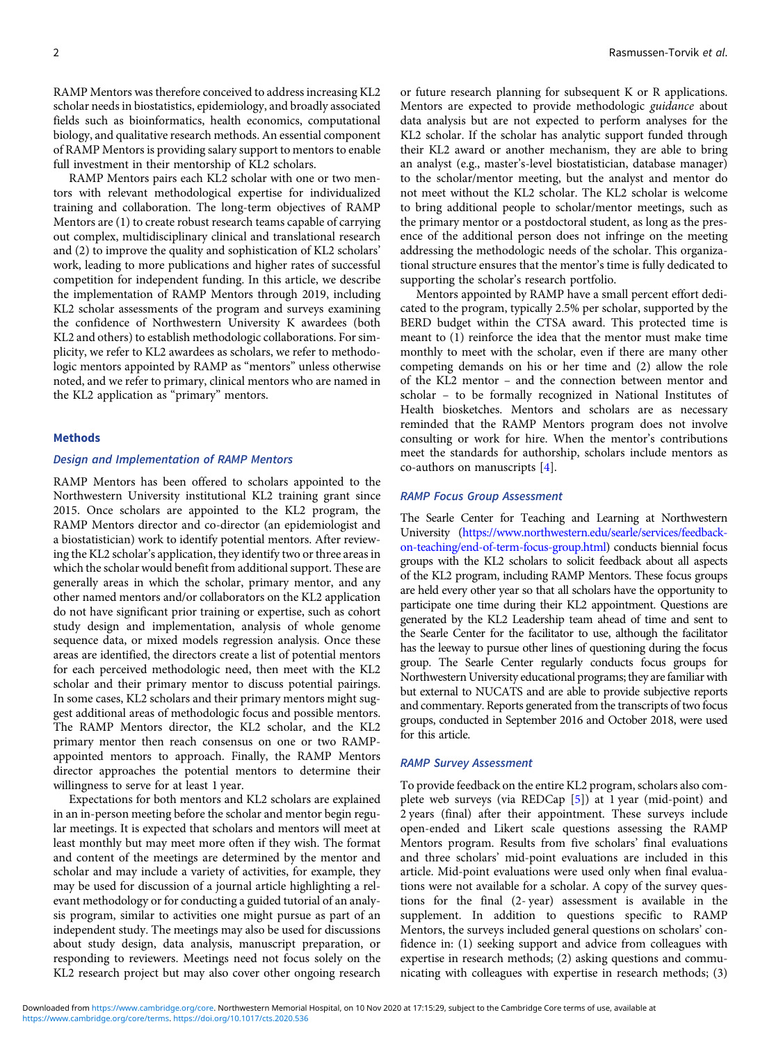RAMP Mentors was therefore conceived to address increasing KL2 scholar needs in biostatistics, epidemiology, and broadly associated fields such as bioinformatics, health economics, computational biology, and qualitative research methods. An essential component of RAMP Mentors is providing salary support to mentors to enable full investment in their mentorship of KL2 scholars.

RAMP Mentors pairs each KL2 scholar with one or two mentors with relevant methodological expertise for individualized training and collaboration. The long-term objectives of RAMP Mentors are (1) to create robust research teams capable of carrying out complex, multidisciplinary clinical and translational research and (2) to improve the quality and sophistication of KL2 scholars' work, leading to more publications and higher rates of successful competition for independent funding. In this article, we describe the implementation of RAMP Mentors through 2019, including KL2 scholar assessments of the program and surveys examining the confidence of Northwestern University K awardees (both KL2 and others) to establish methodologic collaborations. For simplicity, we refer to KL2 awardees as scholars, we refer to methodologic mentors appointed by RAMP as "mentors" unless otherwise noted, and we refer to primary, clinical mentors who are named in the KL2 application as "primary" mentors.

## Methods

## Design and Implementation of RAMP Mentors

RAMP Mentors has been offered to scholars appointed to the Northwestern University institutional KL2 training grant since 2015. Once scholars are appointed to the KL2 program, the RAMP Mentors director and co-director (an epidemiologist and a biostatistician) work to identify potential mentors. After reviewing the KL2 scholar's application, they identify two or three areas in which the scholar would benefit from additional support. These are generally areas in which the scholar, primary mentor, and any other named mentors and/or collaborators on the KL2 application do not have significant prior training or expertise, such as cohort study design and implementation, analysis of whole genome sequence data, or mixed models regression analysis. Once these areas are identified, the directors create a list of potential mentors for each perceived methodologic need, then meet with the KL2 scholar and their primary mentor to discuss potential pairings. In some cases, KL2 scholars and their primary mentors might suggest additional areas of methodologic focus and possible mentors. The RAMP Mentors director, the KL2 scholar, and the KL2 primary mentor then reach consensus on one or two RAMPappointed mentors to approach. Finally, the RAMP Mentors director approaches the potential mentors to determine their willingness to serve for at least 1 year.

Expectations for both mentors and KL2 scholars are explained in an in-person meeting before the scholar and mentor begin regular meetings. It is expected that scholars and mentors will meet at least monthly but may meet more often if they wish. The format and content of the meetings are determined by the mentor and scholar and may include a variety of activities, for example, they may be used for discussion of a journal article highlighting a relevant methodology or for conducting a guided tutorial of an analysis program, similar to activities one might pursue as part of an independent study. The meetings may also be used for discussions about study design, data analysis, manuscript preparation, or responding to reviewers. Meetings need not focus solely on the KL2 research project but may also cover other ongoing research

or future research planning for subsequent K or R applications. Mentors are expected to provide methodologic guidance about data analysis but are not expected to perform analyses for the KL2 scholar. If the scholar has analytic support funded through their KL2 award or another mechanism, they are able to bring an analyst (e.g., master's-level biostatistician, database manager) to the scholar/mentor meeting, but the analyst and mentor do not meet without the KL2 scholar. The KL2 scholar is welcome to bring additional people to scholar/mentor meetings, such as the primary mentor or a postdoctoral student, as long as the presence of the additional person does not infringe on the meeting addressing the methodologic needs of the scholar. This organizational structure ensures that the mentor's time is fully dedicated to supporting the scholar's research portfolio.

Mentors appointed by RAMP have a small percent effort dedicated to the program, typically 2.5% per scholar, supported by the BERD budget within the CTSA award. This protected time is meant to (1) reinforce the idea that the mentor must make time monthly to meet with the scholar, even if there are many other competing demands on his or her time and (2) allow the role of the KL2 mentor – and the connection between mentor and scholar – to be formally recognized in National Institutes of Health biosketches. Mentors and scholars are as necessary reminded that the RAMP Mentors program does not involve consulting or work for hire. When the mentor's contributions meet the standards for authorship, scholars include mentors as co-authors on manuscripts [[4](#page-6-0)].

#### RAMP Focus Group Assessment

The Searle Center for Teaching and Learning at Northwestern University ([https://www.northwestern.edu/searle/services/feedback](https://www.northwestern.edu/searle/services/feedback-on-teaching/end-of-term-focus-group.html)[on-teaching/end-of-term-focus-group.html\)](https://www.northwestern.edu/searle/services/feedback-on-teaching/end-of-term-focus-group.html) conducts biennial focus groups with the KL2 scholars to solicit feedback about all aspects of the KL2 program, including RAMP Mentors. These focus groups are held every other year so that all scholars have the opportunity to participate one time during their KL2 appointment. Questions are generated by the KL2 Leadership team ahead of time and sent to the Searle Center for the facilitator to use, although the facilitator has the leeway to pursue other lines of questioning during the focus group. The Searle Center regularly conducts focus groups for Northwestern University educational programs; they are familiar with but external to NUCATS and are able to provide subjective reports and commentary. Reports generated from the transcripts of two focus groups, conducted in September 2016 and October 2018, were used for this article.

#### RAMP Survey Assessment

To provide feedback on the entire KL2 program, scholars also complete web surveys (via REDCap [\[5\]](#page-6-0)) at 1 year (mid-point) and 2 years (final) after their appointment. These surveys include open-ended and Likert scale questions assessing the RAMP Mentors program. Results from five scholars' final evaluations and three scholars' mid-point evaluations are included in this article. Mid-point evaluations were used only when final evaluations were not available for a scholar. A copy of the survey questions for the final (2- year) assessment is available in the supplement. In addition to questions specific to RAMP Mentors, the surveys included general questions on scholars' confidence in: (1) seeking support and advice from colleagues with expertise in research methods; (2) asking questions and communicating with colleagues with expertise in research methods; (3)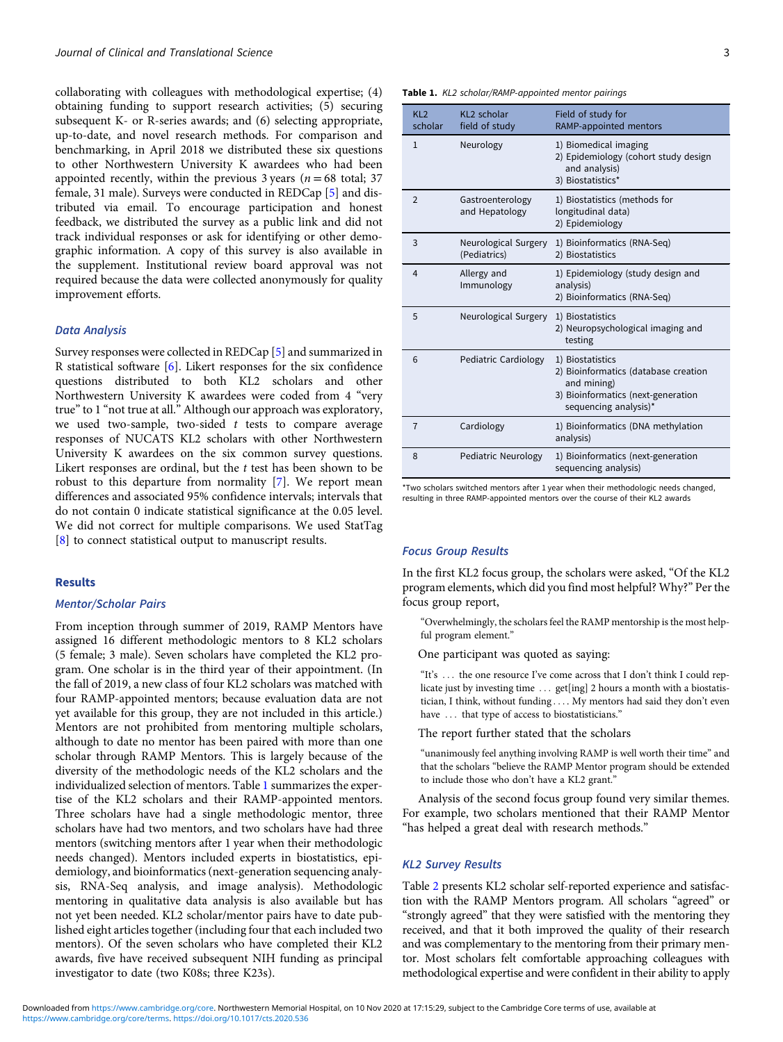collaborating with colleagues with methodological expertise; (4) obtaining funding to support research activities; (5) securing subsequent K- or R-series awards; and (6) selecting appropriate, up-to-date, and novel research methods. For comparison and benchmarking, in April 2018 we distributed these six questions to other Northwestern University K awardees who had been appointed recently, within the previous 3 years ( $n = 68$  total; 37 female, 31 male). Surveys were conducted in REDCap [\[5\]](#page-6-0) and distributed via email. To encourage participation and honest feedback, we distributed the survey as a public link and did not track individual responses or ask for identifying or other demographic information. A copy of this survey is also available in the supplement. Institutional review board approval was not required because the data were collected anonymously for quality improvement efforts.

## Data Analysis

Survey responses were collected in REDCap [\[5](#page-6-0)] and summarized in R statistical software [[6\]](#page-6-0). Likert responses for the six confidence questions distributed to both KL2 scholars and other Northwestern University K awardees were coded from 4 "very true"to 1 "not true at all." Although our approach was exploratory, we used two-sample, two-sided  $t$  tests to compare average responses of NUCATS KL2 scholars with other Northwestern University K awardees on the six common survey questions. Likert responses are ordinal, but the  $t$  test has been shown to be robust to this departure from normality [\[7\]](#page-6-0). We report mean differences and associated 95% confidence intervals; intervals that do not contain 0 indicate statistical significance at the 0.05 level. We did not correct for multiple comparisons. We used StatTag [\[8\]](#page-6-0) to connect statistical output to manuscript results.

### Results

## Mentor/Scholar Pairs

From inception through summer of 2019, RAMP Mentors have assigned 16 different methodologic mentors to 8 KL2 scholars (5 female; 3 male). Seven scholars have completed the KL2 program. One scholar is in the third year of their appointment. (In the fall of 2019, a new class of four KL2 scholars was matched with four RAMP-appointed mentors; because evaluation data are not yet available for this group, they are not included in this article.) Mentors are not prohibited from mentoring multiple scholars, although to date no mentor has been paired with more than one scholar through RAMP Mentors. This is largely because of the diversity of the methodologic needs of the KL2 scholars and the individualized selection of mentors. Table 1 summarizes the expertise of the KL2 scholars and their RAMP-appointed mentors. Three scholars have had a single methodologic mentor, three scholars have had two mentors, and two scholars have had three mentors (switching mentors after 1 year when their methodologic needs changed). Mentors included experts in biostatistics, epidemiology, and bioinformatics (next-generation sequencing analysis, RNA-Seq analysis, and image analysis). Methodologic mentoring in qualitative data analysis is also available but has not yet been needed. KL2 scholar/mentor pairs have to date published eight articles together (including four that each included two mentors). Of the seven scholars who have completed their KL2 awards, five have received subsequent NIH funding as principal investigator to date (two K08s; three K23s).

Table 1. KL2 scholar/RAMP-appointed mentor pairings

| KL <sub>2</sub><br>scholar | KL2 scholar<br>field of study        | Field of study for<br>RAMP-appointed mentors                                                                                           |
|----------------------------|--------------------------------------|----------------------------------------------------------------------------------------------------------------------------------------|
| $\mathbf{1}$               | Neurology                            | 1) Biomedical imaging<br>2) Epidemiology (cohort study design<br>and analysis)<br>3) Biostatistics*                                    |
| $\overline{2}$             | Gastroenterology<br>and Hepatology   | 1) Biostatistics (methods for<br>longitudinal data)<br>2) Epidemiology                                                                 |
| 3                          | Neurological Surgery<br>(Pediatrics) | 1) Bioinformatics (RNA-Seq)<br>2) Biostatistics                                                                                        |
| $\overline{4}$             | Allergy and<br>Immunology            | 1) Epidemiology (study design and<br>analysis)<br>2) Bioinformatics (RNA-Seq)                                                          |
| 5                          | Neurological Surgery                 | 1) Biostatistics<br>2) Neuropsychological imaging and<br>testing                                                                       |
| 6                          | Pediatric Cardiology                 | 1) Biostatistics<br>2) Bioinformatics (database creation<br>and mining)<br>3) Bioinformatics (next-generation<br>sequencing analysis)* |
| $\overline{7}$             | Cardiology                           | 1) Bioinformatics (DNA methylation<br>analysis)                                                                                        |
| 8                          | Pediatric Neurology                  | 1) Bioinformatics (next-generation<br>sequencing analysis)                                                                             |

\*Two scholars switched mentors after 1 year when their methodologic needs changed, resulting in three RAMP-appointed mentors over the course of their KL2 awards

#### Focus Group Results

In the first KL2 focus group, the scholars were asked, "Of the KL2 program elements, which did you find most helpful? Why?" Per the focus group report,

"Overwhelmingly, the scholars feel the RAMP mentorship is the most helpful program element."

One participant was quoted as saying:

"It's ... the one resource I've come across that I don't think I could replicate just by investing time ... get[ing] 2 hours a month with a biostatistician, I think, without funding .... My mentors had said they don't even have ... that type of access to biostatisticians."

The report further stated that the scholars

"unanimously feel anything involving RAMP is well worth their time" and that the scholars "believe the RAMP Mentor program should be extended to include those who don't have a KL2 grant."

Analysis of the second focus group found very similar themes. For example, two scholars mentioned that their RAMP Mentor "has helped a great deal with research methods."

## KL2 Survey Results

Table [2](#page-3-0) presents KL2 scholar self-reported experience and satisfaction with the RAMP Mentors program. All scholars "agreed" or "strongly agreed" that they were satisfied with the mentoring they received, and that it both improved the quality of their research and was complementary to the mentoring from their primary mentor. Most scholars felt comfortable approaching colleagues with methodological expertise and were confident in their ability to apply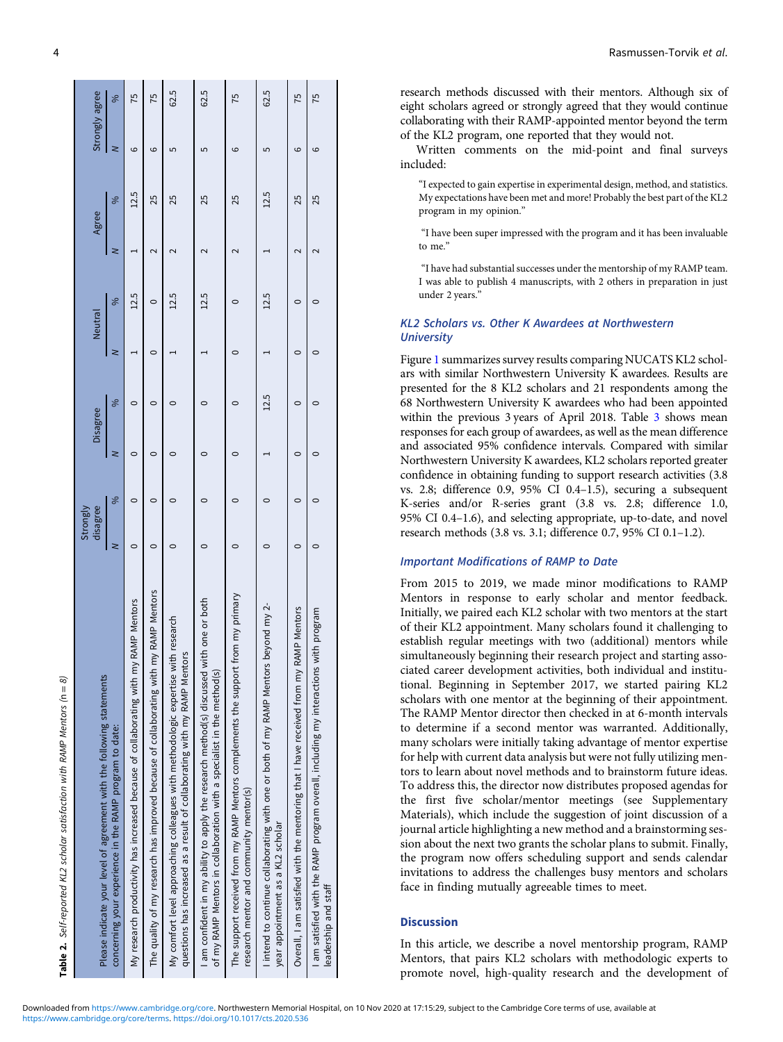<span id="page-3-0"></span>

| Please indicate your level of agreement with the following statements                                                                                             | disagree<br>Strongly |   | Disagree |               | Neutral |               | Agree             |               | Strongly agree |      |
|-------------------------------------------------------------------------------------------------------------------------------------------------------------------|----------------------|---|----------|---------------|---------|---------------|-------------------|---------------|----------------|------|
| concerning your experience in the RAMP program to date:                                                                                                           | z                    | % | ≥        | $\frac{8}{3}$ | ≳       | $\frac{8}{3}$ | ⋜                 | $\frac{8}{3}$ | z              | ℅    |
| My research productivity has increased because of collaborating with my RAMP Mentors                                                                              | 0                    | 0 | 0        | 0             |         | 12.5          |                   | 12.5          | ဖ              | 75   |
| my RAMP Mentors<br>The quality of my research has improved because of collaborating with                                                                          | 0                    | 0 | 0        | 0             | 0       | $\circ$       | $\sim$            | 25            | ဖ              | 75   |
| My comfort level approaching colleagues with methodologic expertise with research<br>questions has increased as a result of collaborating with my RAMP Mentors    |                      |   |          |               |         | 12.5          |                   | 25            | 5              | 62.5 |
| I am confident in my ability to apply the research method(s) discussed with one or both<br>of my RAMP Mentors in collaboration with a specialist in the method(s) |                      |   |          |               |         | 12.5          | $\sim$            | 25            | 5              | 62.5 |
| The support received from my RAMP Mentors complements the support from my primary<br>research mentor and community mentor(s)                                      |                      |   |          | 0             | 0       |               |                   | 25            | ဖ              | 75   |
| I intend to continue collaborating with one or both of my RAMP Mentors beyond my 2-<br>year appointment as a KL2 scholar                                          |                      |   |          | 12.5          |         | 12.5          |                   | 12.5          | 5              | 62.5 |
| RAMP Mentors<br>Overall, I am satisfied with the mentoring that I have received from my                                                                           | $\circ$              | 0 | $\circ$  | 0             | 0       | $\circ$       | 2                 | 25            | ဖ              | 75   |
| I am satisfied with the RAMP program overall, including my interactions with program<br>leadership and staff                                                      |                      |   | 0        | 0             | 0       | O             | $\mathbf  \Omega$ | 25            | ဖ              | 75   |
|                                                                                                                                                                   |                      |   |          |               |         |               |                   |               |                |      |

research methods discussed with their mentors. Although six of eight scholars agreed or strongly agreed that they would continue collaborating with their RAMP-appointed mentor beyond the term of the KL2 program, one reported that they would not.

Written comments on the mid-point and final surveys included:

"I expected to gain expertise in experimental design, method, and statistics. My expectations have been met and more! Probably the best part of the KL2 program in my opinion."

"I have been super impressed with the program and it has been invaluable to me."

"I have had substantial successes under the mentorship of my RAMP team. I was able to publish 4 manuscripts, with 2 others in preparation in just under 2 years."

## KL2 Scholars vs. Other K Awardees at Northwestern **University**

Figure [1](#page-4-0) summarizes survey results comparing NUCATS KL2 scholars with similar Northwestern University K awardees. Results are presented for the 8 KL2 scholars and 21 respondents among the 68 Northwestern University K awardees who had been appointed within the previous 3 years of April 2018. Table [3](#page-5-0) shows mean responses for each group of awardees, as well as the mean difference and associated 95% confidence intervals. Compared with similar Northwestern University K awardees, KL2 scholars reported greater confidence in obtaining funding to support research activities (3.8 vs. 2.8; difference 0.9, 95% CI 0.4–1.5), securing a subsequent K-series and/or R-series grant (3.8 vs. 2.8; difference 1.0, 95% CI 0.4–1.6), and selecting appropriate, up-to-date, and novel research methods (3.8 vs. 3.1; difference 0.7, 95% CI 0.1–1.2).

## Important Modifications of RAMP to Date

From 2015 to 2019, we made minor modifications to RAMP Mentors in response to early scholar and mentor feedback. Initially, we paired each KL2 scholar with two mentors at the start of their KL2 appointment. Many scholars found it challenging to establish regular meetings with two (additional) mentors while simultaneously beginning their research project and starting associated career development activities, both individual and institutional. Beginning in September 2017, we started pairing KL2 scholars with one mentor at the beginning of their appointment. The RAMP Mentor director then checked in at 6-month intervals to determine if a second mentor was warranted. Additionally, many scholars were initially taking advantage of mentor expertise for help with current data analysis but were not fully utilizing mentors to learn about novel methods and to brainstorm future ideas. To address this, the director now distributes proposed agendas for the first five scholar/mentor meetings (see Supplementary Materials), which include the suggestion of joint discussion of a journal article highlighting a new method and a brainstorming session about the next two grants the scholar plans to submit. Finally, the program now offers scheduling support and sends calendar invitations to address the challenges busy mentors and scholars face in finding mutually agreeable times to meet.

## **Discussion**

In this article, we describe a novel mentorship program, RAMP Mentors, that pairs KL2 scholars with methodologic experts to promote novel, high-quality research and the development of

Table 2. Self-reported KL2 scholar satisfaction with RAMP Mentors ( $n = 8$ )

Self-reported KL2 scholar satisfaction with RAMP Mentors (n = 8)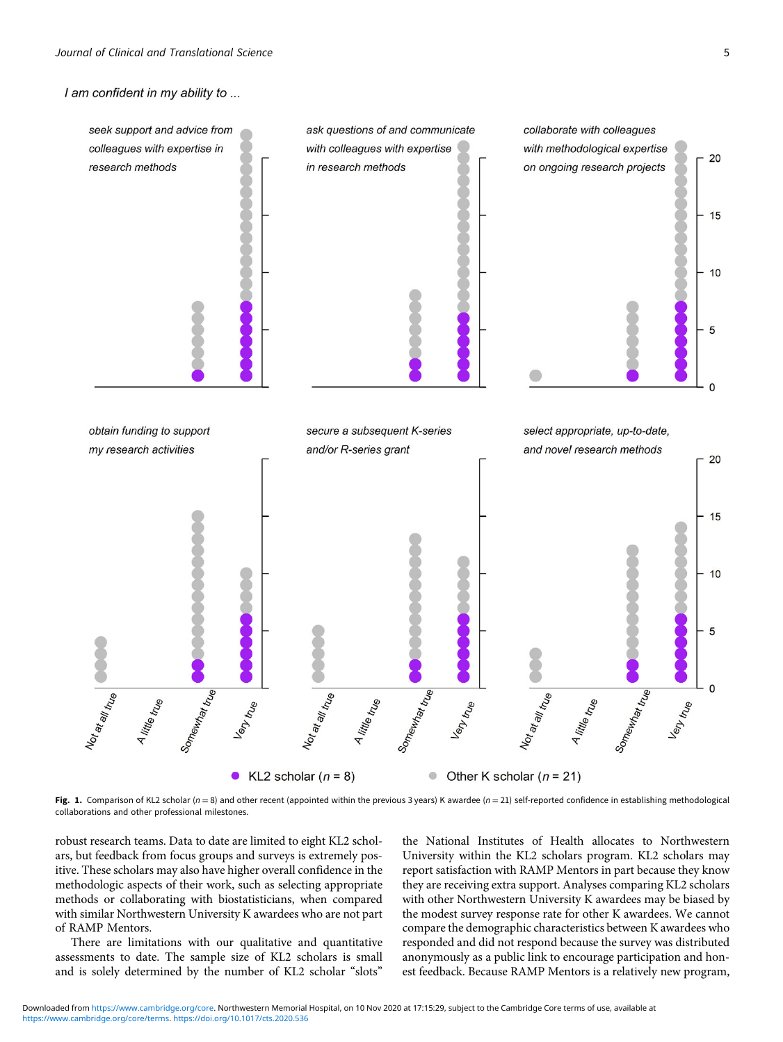<span id="page-4-0"></span>I am confident in my ability to ...



Fig. 1. Comparison of KL2 scholar ( $n = 8$ ) and other recent (appointed within the previous 3 years) K awardee ( $n = 21$ ) self-reported confidence in establishing methodological collaborations and other professional milestones.

robust research teams. Data to date are limited to eight KL2 scholars, but feedback from focus groups and surveys is extremely positive. These scholars may also have higher overall confidence in the methodologic aspects of their work, such as selecting appropriate methods or collaborating with biostatisticians, when compared with similar Northwestern University K awardees who are not part of RAMP Mentors.

There are limitations with our qualitative and quantitative assessments to date. The sample size of KL2 scholars is small and is solely determined by the number of KL2 scholar "slots"

the National Institutes of Health allocates to Northwestern University within the KL2 scholars program. KL2 scholars may report satisfaction with RAMP Mentors in part because they know they are receiving extra support. Analyses comparing KL2 scholars with other Northwestern University K awardees may be biased by the modest survey response rate for other K awardees. We cannot compare the demographic characteristics between K awardees who responded and did not respond because the survey was distributed anonymously as a public link to encourage participation and honest feedback. Because RAMP Mentors is a relatively new program,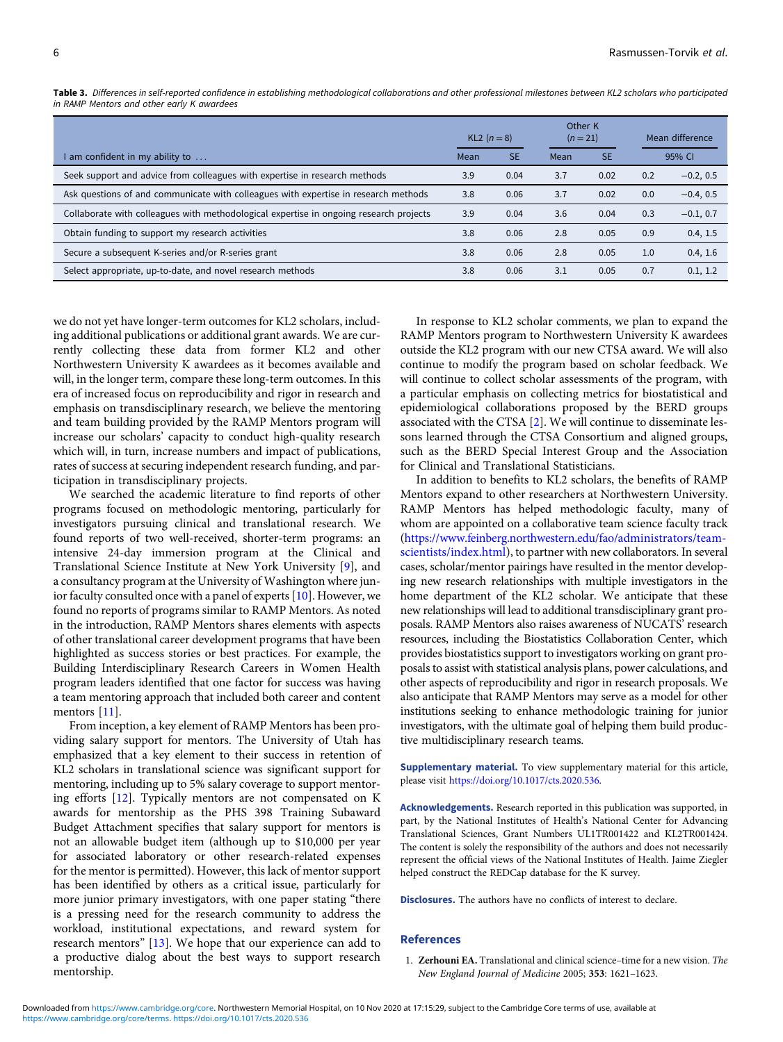|                                                                                        | KL2 $(n = 8)$ |           | Other K<br>$(n = 21)$ |           |        | Mean difference |  |
|----------------------------------------------------------------------------------------|---------------|-----------|-----------------------|-----------|--------|-----------------|--|
| I am confident in my ability to $\dots$                                                | Mean          | <b>SE</b> | Mean                  | <b>SE</b> | 95% CI |                 |  |
| Seek support and advice from colleagues with expertise in research methods             | 3.9           | 0.04      | 3.7                   | 0.02      | 0.2    | $-0.2, 0.5$     |  |
| Ask questions of and communicate with colleagues with expertise in research methods    | 3.8           | 0.06      | 3.7                   | 0.02      | 0.0    | $-0.4, 0.5$     |  |
| Collaborate with colleagues with methodological expertise in ongoing research projects | 3.9           | 0.04      | 3.6                   | 0.04      | 0.3    | $-0.1, 0.7$     |  |
| Obtain funding to support my research activities                                       |               | 0.06      | 2.8                   | 0.05      | 0.9    | 0.4, 1.5        |  |
| Secure a subsequent K-series and/or R-series grant                                     |               | 0.06      | 2.8                   | 0.05      | 1.0    | 0.4, 1.6        |  |
| Select appropriate, up-to-date, and novel research methods                             |               | 0.06      | 3.1                   | 0.05      | 0.7    | 0.1, 1.2        |  |

<span id="page-5-0"></span>Table 3. Differences in self-reported confidence in establishing methodological collaborations and other professional milestones between KL2 scholars who participated in RAMP Mentors and other early K awardees

we do not yet have longer-term outcomes for KL2 scholars, including additional publications or additional grant awards. We are currently collecting these data from former KL2 and other Northwestern University K awardees as it becomes available and will, in the longer term, compare these long-term outcomes. In this era of increased focus on reproducibility and rigor in research and emphasis on transdisciplinary research, we believe the mentoring and team building provided by the RAMP Mentors program will increase our scholars' capacity to conduct high-quality research which will, in turn, increase numbers and impact of publications, rates of success at securing independent research funding, and participation in transdisciplinary projects.

We searched the academic literature to find reports of other programs focused on methodologic mentoring, particularly for investigators pursuing clinical and translational research. We found reports of two well-received, shorter-term programs: an intensive 24-day immersion program at the Clinical and Translational Science Institute at New York University [[9](#page-6-0)], and a consultancy program at the University of Washington where junior faculty consulted once with a panel of experts [\[10](#page-6-0)]. However, we found no reports of programs similar to RAMP Mentors. As noted in the introduction, RAMP Mentors shares elements with aspects of other translational career development programs that have been highlighted as success stories or best practices. For example, the Building Interdisciplinary Research Careers in Women Health program leaders identified that one factor for success was having a team mentoring approach that included both career and content mentors [\[11](#page-6-0)].

From inception, a key element of RAMP Mentors has been providing salary support for mentors. The University of Utah has emphasized that a key element to their success in retention of KL2 scholars in translational science was significant support for mentoring, including up to 5% salary coverage to support mentoring efforts [\[12](#page-6-0)]. Typically mentors are not compensated on K awards for mentorship as the PHS 398 Training Subaward Budget Attachment specifies that salary support for mentors is not an allowable budget item (although up to \$10,000 per year for associated laboratory or other research-related expenses for the mentor is permitted). However, this lack of mentor support has been identified by others as a critical issue, particularly for more junior primary investigators, with one paper stating "there is a pressing need for the research community to address the workload, institutional expectations, and reward system for research mentors" [\[13](#page-6-0)]. We hope that our experience can add to a productive dialog about the best ways to support research mentorship.

In response to KL2 scholar comments, we plan to expand the RAMP Mentors program to Northwestern University K awardees outside the KL2 program with our new CTSA award. We will also continue to modify the program based on scholar feedback. We will continue to collect scholar assessments of the program, with a particular emphasis on collecting metrics for biostatistical and epidemiological collaborations proposed by the BERD groups associated with the CTSA [[2](#page-6-0)]. We will continue to disseminate lessons learned through the CTSA Consortium and aligned groups, such as the BERD Special Interest Group and the Association for Clinical and Translational Statisticians.

In addition to benefits to KL2 scholars, the benefits of RAMP Mentors expand to other researchers at Northwestern University. RAMP Mentors has helped methodologic faculty, many of whom are appointed on a collaborative team science faculty track ([https://www.feinberg.northwestern.edu/fao/administrators/team](https://www.feinberg.northwestern.edu/fao/administrators/team-scientists/index.html)[scientists/index.html\)](https://www.feinberg.northwestern.edu/fao/administrators/team-scientists/index.html), to partner with new collaborators. In several cases, scholar/mentor pairings have resulted in the mentor developing new research relationships with multiple investigators in the home department of the KL2 scholar. We anticipate that these new relationships will lead to additional transdisciplinary grant proposals. RAMP Mentors also raises awareness of NUCATS' research resources, including the Biostatistics Collaboration Center, which provides biostatistics support to investigators working on grant proposals to assist with statistical analysis plans, power calculations, and other aspects of reproducibility and rigor in research proposals. We also anticipate that RAMP Mentors may serve as a model for other institutions seeking to enhance methodologic training for junior investigators, with the ultimate goal of helping them build productive multidisciplinary research teams.

Supplementary material. To view supplementary material for this article, please visit [https://doi.org/10.1017/cts.2020.536.](https://doi.org/10.1017/cts.2020.536)

Acknowledgements. Research reported in this publication was supported, in part, by the National Institutes of Health's National Center for Advancing Translational Sciences, Grant Numbers UL1TR001422 and KL2TR001424. The content is solely the responsibility of the authors and does not necessarily represent the official views of the National Institutes of Health. Jaime Ziegler helped construct the REDCap database for the K survey.

Disclosures. The authors have no conflicts of interest to declare.

## **References**

1. Zerhouni EA. Translational and clinical science–time for a new vision. The New England Journal of Medicine 2005; 353: 1621–1623.